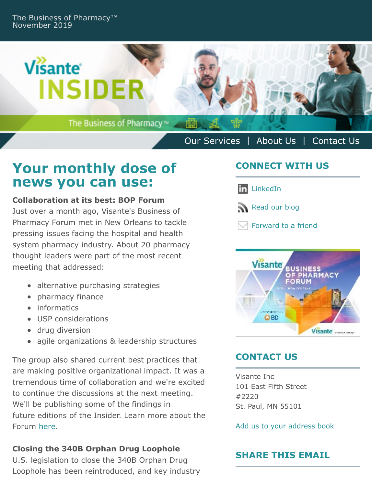

# **Your monthly dose of news you can use:**

#### **Collaboration at its best: BOP Forum**

Just over a month ago, Visante's Business of Pharmacy Forum met in New Orleans to tackle pressing issues facing the hospital and health system pharmacy industry. About 20 pharmacy thought leaders were part of the most recent meeting that addressed:

- alternative purchasing strategies
- pharmacy finance
- informatics
- USP considerations
- drug diversion
- agile organizations & leadership structures

The group also shared current best practices that are making positive organizational impact. It was a tremendous time of collaboration and we're excited to continue the discussions at the next meeting. We'll be publishing some of the findings in future editions of the Insider. Learn more about the Forum [here](https://www.visanteinc.com/welcome-to-the-business-of-pharmacy-forum/).

#### **Closing the 340B Orphan Drug Loophole**

U.S. legislation to close the 340B Orphan Drug Loophole has been reintroduced, and key industry

# **CONNECT WITH US**

**in** [LinkedIn](https://www.linkedin.com/company/visante-inc-)



 $\boxdot$  [Forward to a friend](http://us9.forward-to-friend.com/forward?u=e4a888d2ee68b81f82fbf6f2a&id=a48cc61065&e=%5BUNIQID%5D)



# **CONTACT US**

Visante Inc 101 East Fifth Street #2220 St. Paul, MN 55101

[Add us to your address book](https://visanteinc.us9.list-manage.com/vcard?u=e4a888d2ee68b81f82fbf6f2a&id=3567711e4b)

# **SHARE THIS EMAIL**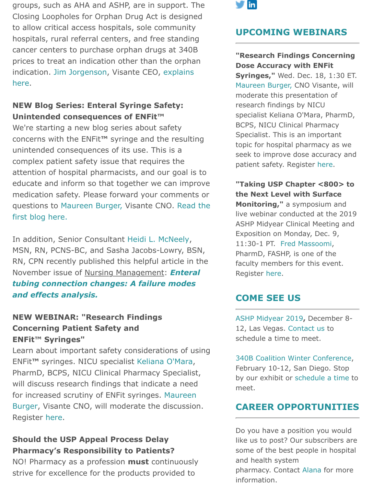groups, such as AHA and ASHP, are in support. The Closing Loopholes for Orphan Drug Act is designed to allow critical access hospitals, sole community hospitals, rural referral centers, and free standing cancer centers to purchase orphan drugs at 340B prices to treat an indication other than the orphan [indication. Jim Jorgenson, Visante CEO, explains](https://www.visanteinc.com/congress-acts-to-close-340b-orphan-drug-loophole/) here.

#### **NEW Blog Series: Enteral Syringe Safety: Unintended consequences of ENFit™**

We're starting a new blog series about safety concerns with the ENFit**™** syringe and the resulting unintended consequences of its use. This is a complex patient safety issue that requires the attention of hospital pharmacists, and our goal is to educate and inform so that together we can improve medication safety. Please forward your comments or [questions to Maureen Burger, Visante CNO. Read the](https://www.visanteinc.com/enteral-syringe-safety-unintended-consequences-of-enfit/) first blog here.

In addition, Senior Consultant [Heidi L. McNeely](https://www.visanteinc.com/our-people/heidi-mcneely/), MSN, RN, PCNS-BC, and Sasha Jacobs-Lowry, BSN, RN, CPN recently published this helpful article in the November issue of Nursing Management: *Enteral [tubing connection changes: A failure modes](https://gallery.mailchimp.com/e4a888d2ee68b81f82fbf6f2a/files/2ed27177-3b88-4c0d-aac9-bc81446d2636/McNeely_Enteral_tubing_connection_changes__A_failure_modes.4_1_.pdf) and effects analysis.*

#### **NEW WEBINAR: "Research Findings Concerning Patient Safety and ENFit™ Syringes"**

Learn about important safety considerations of using ENFit**™** syringes. NICU specialist [Keliana O'Mara,](https://www.visanteinc.com/our-people/keliana-omara/) PharmD, BCPS, NICU Clinical Pharmacy Specialist, will discuss research findings that indicate a need [for increased scrutiny of ENFit syringes. Maureen](https://www.visanteinc.com/our-people/1296/) Burger, Visante CNO, will moderate the discussion. Register [here](https://zoom.us/webinar/register/WN_00Wqg96fRqmsWEuLoCpQ-w).

## **Should the USP Appeal Process Delay Pharmacy's Responsibility to Patients?**

NO! Pharmacy as a profession **must** continuously strive for excellence for the products provided to



#### **UPCOMING WEBINARS**

#### **"Research Findings Concerning Dose Accuracy with ENFit**

**[Syringes,"](https://www.visanteinc.com/our-people/1296/)** Wed. Dec. 18, 1:30 ET. Maureen Burger, CNO Visante, will moderate this presentation of research findings by NICU specialist Keliana O'Mara, PharmD, BCPS, NICU Clinical Pharmacy Specialist. This is an important topic for hospital pharmacy as we seek to improve dose a[ccura](https://zoom.us/webinar/register/WN_00Wqg96fRqmsWEuLoCpQ-w)cy and patient safety. Register here.

**"Taking USP Chapter <800> to the Next Level with Surface Monitoring,"** a symposium and live webinar conducted at the 2019 ASHP Midyear Clinical Meeting and Exposition o[n Monday, Dec.](https://www.visanteinc.com/our-people/fred-massoomi/) 9, 11:30-1 PT. Fred Massoomi, PharmD, FASHP, is one of the faculty [memb](https://www.ashpadvantage.com/monitoring/?utm_source=111319%20MR%20Advantage%20Webinars%20&utm_medium=email)ers for this event. Register here.

## **COME SEE US**

[ASHP Midyear 2019](https://midyear.ashp.org/?utm_medium=cpc&utm_source=google&utm_campaign=mcm19&utm_term=advanced-rate&utm_content=branded&gclid=EAIaIQobChMIvpCc2_vx5QIV45JbCh1dCgOHEAAYASAAEgIgpPD_BwE)**,** [Dece](mailto:acolumbo@visanteinc.com?subject=Let)mber 8- 12, Las Vegas. Contact us to schedule a time to meet.

[340B Coalition Winter Conference,](https://www.340bwinterconference.org/) February 10-12, [San Diego. Stop](mailto:acolumbo@visanteinc.com?subject=Schedule%20a%20time%20to%20meet%20at%20340B%20Coalition%20Winter%20Conference) by our exhibit or schedule a time to meet.

#### **CAREER OPPORTUNITIES**

Do you have a position you would like us to post? Our subscribers are some of the best people in hospital and health system pharmacy. Contact [Alana](mailto:acolumbo@visanteinc.com?subject=Position%20to%20post%20in%20the%20Visante%20Insider) for more information.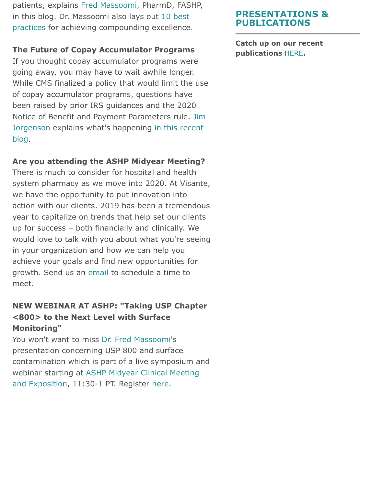patients, explains [Fred Massoomi,](https://www.visanteinc.com/our-people/fred-massoomi/) PharmD, FASHP, [in this blog. Dr. Massoomi also lays out 10 best](https://www.visanteinc.com/should-the-usp-appeal-process-delay-pharmacys-responsibility-to-patients/) practices for achieving compounding excellence.

#### **The Future of Copay Accumulator Programs**

If you thought copay accumulator programs were going away, you may have to wait awhile longer. While CMS finalized a policy that would limit the use of copay accumulator programs, questions have been raised by prior IRS guidances and the 2020 [Notice of Benefit and Payment Parameters rule. Jim](https://www.visanteinc.com/our-people/jim-jorgenso/) [Jorgenson explains what's happening in this recent](https://www.visanteinc.com/the-end-of-copay-accumulator-programs-not-so-fast-my-friend/) blog.

#### **Are you attending the ASHP Midyear Meeting?**

There is much to consider for hospital and health system pharmacy as we move into 2020. At Visante, we have the opportunity to put innovation into action with our clients. 2019 has been a tremendous year to capitalize on trends that help set our clients up for success – both financially and clinically. We would love to talk with you about what you're seeing in your organization and how we can help you achieve your goals and find new opportunities for growth. Send us an [email](mailto:acolumbo@visanteinc.com?subject=Let) to schedule a time to meet.

## **NEW WEBINAR AT ASHP: "Taking USP Chapter <800> to the Next Level with Surface Monitoring"**

You won't want to miss [Dr. Fred Massoomi](https://www.visanteinc.com/our-people/fred-massoomi/)'s presentation concerning USP 800 and surface contamination which is part of a live symposium and [webinar starting at ASHP Midyear Clinical Meeting](https://midyear.ashp.org/?utm_medium=cpc&utm_source=google&utm_campaign=mcm19&utm_term=advanced-rate&utm_content=branded&gclid=CjwKCAiA8K7uBRBBEiwACOm4d7gfgGrkA3PIXU1YUcRd2Gpl8uYzytXWhthCuV8xxhIM-AqkR8WC6RoCJY0QAvD_BwE) and Exposition, 11:30-1 PT. Register [here](https://www.ashpadvantage.com/monitoring/?utm_source=111319%20MR%20Advantage%20Webinars%20&utm_medium=email).

## **PRESENTATIONS & PUBLICATIONS**

**Catch up on [our re](https://visanteinc.com/news-media/publications/)cent publications** HERE**.**